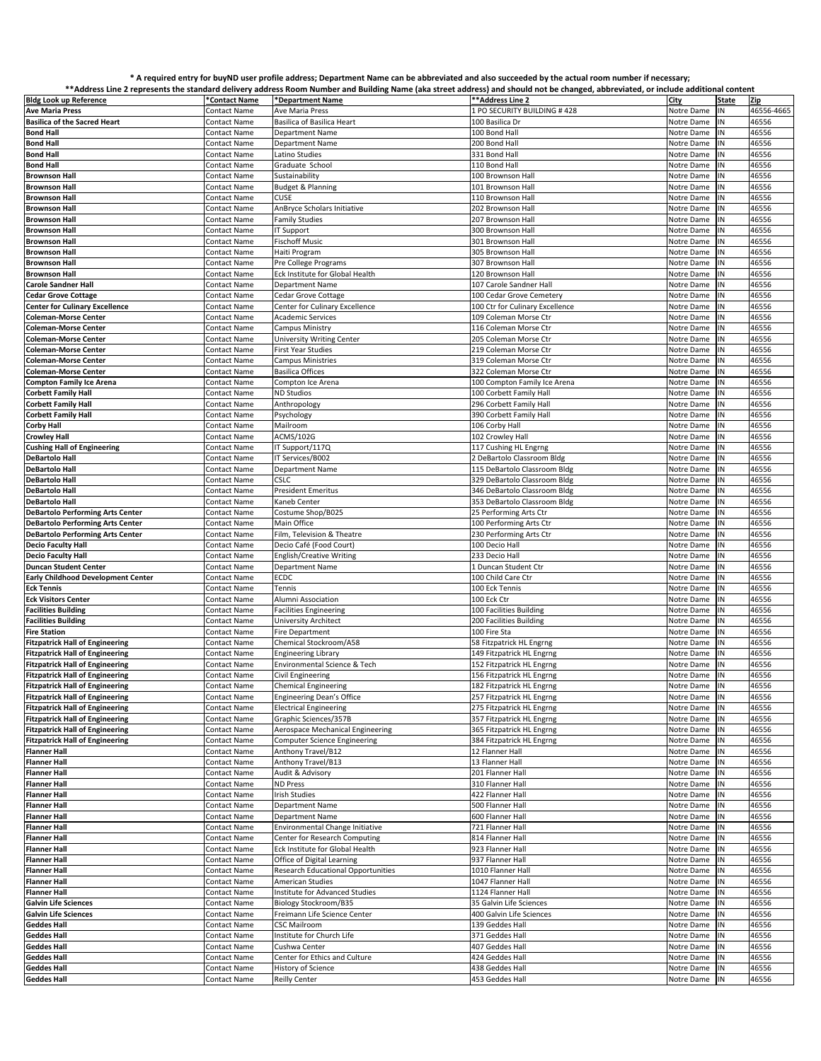## **\* A required entry for buyND user profile address; Department Name can be abbreviated and also succeeded by the actual room number if necessary;**

|                                           |               |                                           | **Address Line 2 represents the standard delivery address Room Number and Building Name (aka street address) and should not be changed, abbreviated, or include additional content |               |       |            |
|-------------------------------------------|---------------|-------------------------------------------|------------------------------------------------------------------------------------------------------------------------------------------------------------------------------------|---------------|-------|------------|
| <b>Bldg Look up Reference</b>             | *Contact Name | *Department Name                          | **Address Line 2                                                                                                                                                                   | City          | State | Zip        |
| <b>Ave Maria Press</b>                    | Contact Name  | Ave Maria Press                           | 1 PO SECURITY BUILDING #428                                                                                                                                                        | Notre Dame    | IN    | 46556-4665 |
|                                           |               |                                           |                                                                                                                                                                                    |               |       |            |
| <b>Basilica of the Sacred Heart</b>       | Contact Name  | Basilica of Basilica Heart                | 100 Basilica Dr                                                                                                                                                                    | Notre Dame    | IN    | 46556      |
| <b>Bond Hall</b>                          | Contact Name  | <b>Department Name</b>                    | 100 Bond Hall                                                                                                                                                                      | Notre Dame    | N     | 46556      |
| <b>Bond Hall</b>                          | Contact Name  | <b>Department Name</b>                    | 200 Bond Hall                                                                                                                                                                      | Notre Dame    | IN    | 46556      |
| <b>Bond Hall</b>                          | Contact Name  | Latino Studies                            | 331 Bond Hall                                                                                                                                                                      | Notre Dame    | IN    | 46556      |
| <b>Bond Hall</b>                          | Contact Name  | Graduate School                           | 110 Bond Hall                                                                                                                                                                      | Notre Dame    | N     | 46556      |
|                                           |               |                                           |                                                                                                                                                                                    |               |       |            |
| <b>Brownson Hall</b>                      | Contact Name  | Sustainability                            | 100 Brownson Hall                                                                                                                                                                  | Notre Dame    | ΙN    | 46556      |
| <b>Brownson Hall</b>                      | Contact Name  | <b>Budget &amp; Planning</b>              | 101 Brownson Hall                                                                                                                                                                  | Notre Dame    | ΙN    | 46556      |
| <b>Brownson Hall</b>                      | Contact Name  | CUSE                                      | 110 Brownson Hal                                                                                                                                                                   | Notre Dame    | N     | 46556      |
| <b>Brownson Hall</b>                      | Contact Name  | AnBryce Scholars Initiative               | 202 Brownson Hall                                                                                                                                                                  | Notre Dame    | IN    | 46556      |
|                                           |               |                                           |                                                                                                                                                                                    |               |       |            |
| <b>Brownson Hall</b>                      | Contact Name  | <b>Family Studies</b>                     | 207 Brownson Hall                                                                                                                                                                  | Notre Dame    | ΙN    | 46556      |
| <b>Brownson Hall</b>                      | Contact Name  | IT Support                                | 300 Brownson Hall                                                                                                                                                                  | Notre Dame    | ΙN    | 46556      |
| <b>Brownson Hall</b>                      | Contact Name  | <b>Fischoff Music</b>                     | 301 Brownson Hal                                                                                                                                                                   | Notre Dame    | N     | 46556      |
| <b>Brownson Hall</b>                      | Contact Name  | Haiti Program                             | 305 Brownson Hall                                                                                                                                                                  | Notre Dame    | IN    | 46556      |
|                                           |               |                                           | 307 Brownson Hall                                                                                                                                                                  |               |       |            |
| <b>Brownson Hall</b>                      | Contact Name  | Pre College Programs                      |                                                                                                                                                                                    | Notre Dame    | IN    | 46556      |
| <b>Brownson Hall</b>                      | Contact Name  | Eck Institute for Global Health           | 120 Brownson Hall                                                                                                                                                                  | Notre Dame    | IN    | 46556      |
| <b>Carole Sandner Hall</b>                | Contact Name  | Department Name                           | 107 Carole Sandner Hall                                                                                                                                                            | Notre Dame    | IN    | 46556      |
| <b>Cedar Grove Cottage</b>                | Contact Name  | Cedar Grove Cottage                       | 100 Cedar Grove Cemetery                                                                                                                                                           | Notre Dame    | IN    | 46556      |
|                                           |               |                                           |                                                                                                                                                                                    |               | IN    | 46556      |
| <b>Center for Culinary Excellence</b>     | Contact Name  | Center for Culinary Excellence            | 100 Ctr for Culinary Excellence                                                                                                                                                    | Notre Dame    |       |            |
| <b>Coleman-Morse Center</b>               | Contact Name  | <b>Academic Services</b>                  | 109 Coleman Morse Ctr                                                                                                                                                              | Notre Dame    | IN    | 46556      |
| <b>Coleman-Morse Center</b>               | Contact Name  | Campus Ministry                           | 116 Coleman Morse Ctr                                                                                                                                                              | Notre Dame    | IN    | 46556      |
| <b>Coleman-Morse Center</b>               | Contact Name  | <b>University Writing Center</b>          | 205 Coleman Morse Ctr                                                                                                                                                              | Notre Dame    | IN    | 46556      |
|                                           |               | <b>First Year Studies</b>                 | 219 Coleman Morse Ctr                                                                                                                                                              | Notre Dame    | N     | 46556      |
| <b>Coleman-Morse Center</b>               | Contact Name  |                                           |                                                                                                                                                                                    |               |       |            |
| <b>Coleman-Morse Center</b>               | Contact Name  | <b>Campus Ministries</b>                  | 319 Coleman Morse Ctr                                                                                                                                                              | Notre Dame    | IN    | 46556      |
| <b>Coleman-Morse Center</b>               | Contact Name  | <b>Basilica Offices</b>                   | 322 Coleman Morse Ctr                                                                                                                                                              | Notre Dame    | IN    | 46556      |
| <b>Compton Family Ice Arena</b>           | Contact Name  | Compton Ice Arena                         | 100 Compton Family Ice Arena                                                                                                                                                       | Notre Dame    | N     | 46556      |
| <b>Corbett Family Hall</b>                | Contact Name  | <b>ND Studios</b>                         | 100 Corbett Family Hall                                                                                                                                                            | Notre Dame    | ΙN    | 46556      |
|                                           |               |                                           |                                                                                                                                                                                    |               |       |            |
| <b>Corbett Family Hall</b>                | Contact Name  | Anthropology                              | 296 Corbett Family Hall                                                                                                                                                            | Notre Dame    | ΙN    | 46556      |
| <b>Corbett Family Hall</b>                | Contact Name  | Psychology                                | 390 Corbett Family Hall                                                                                                                                                            | Notre Dame    | N     | 46556      |
| <b>Corby Hall</b>                         | Contact Name  | Mailroom                                  | 106 Corby Hall                                                                                                                                                                     | Notre Dame    | IN    | 46556      |
| <b>Crowley Hall</b>                       | Contact Name  | <b>ACMS/102G</b>                          | 102 Crowley Hall                                                                                                                                                                   | Notre Dame    | IN    | 46556      |
|                                           |               |                                           |                                                                                                                                                                                    |               |       |            |
| <b>Cushing Hall of Engineering</b>        | Contact Name  | IT Support/117Q                           | 117 Cushing HL Engrng                                                                                                                                                              | Notre Dame    | IN    | 46556      |
| <b>DeBartolo Hall</b>                     | Contact Name  | IT Services/B002                          | 2 DeBartolo Classroom Bldg                                                                                                                                                         | Notre Dame    | N     | 46556      |
| <b>DeBartolo Hall</b>                     | Contact Name  | <b>Department Name</b>                    | 115 DeBartolo Classroom Bldg                                                                                                                                                       | Notre Dame    | IN    | 46556      |
| <b>DeBartolo Hall</b>                     | Contact Name  | CSLC                                      | 329 DeBartolo Classroom Bldg                                                                                                                                                       | Notre Dame    | IN    | 46556      |
|                                           |               |                                           |                                                                                                                                                                                    |               |       |            |
| <b>DeBartolo Hall</b>                     | Contact Name  | <b>President Emeritus</b>                 | 346 DeBartolo Classroom Bldg                                                                                                                                                       | Notre Dame    | N     | 46556      |
| <b>DeBartolo Hall</b>                     | Contact Name  | Kaneb Center                              | 353 DeBartolo Classroom Bldg                                                                                                                                                       | Notre Dame    | IN    | 46556      |
| <b>DeBartolo Performing Arts Center</b>   | Contact Name  | Costume Shop/B025                         | 25 Performing Arts Ctr                                                                                                                                                             | Notre Dame    | IN    | 46556      |
| <b>DeBartolo Performing Arts Center</b>   | Contact Name  | Main Office                               | 100 Performing Arts Ctr                                                                                                                                                            | Notre Dame    | N     | 46556      |
| <b>DeBartolo Performing Arts Center</b>   | Contact Name  | Film, Television & Theatre                | 230 Performing Arts Ctr                                                                                                                                                            | Notre Dame    | IN    | 46556      |
|                                           |               |                                           |                                                                                                                                                                                    |               |       |            |
| <b>Decio Faculty Hall</b>                 | Contact Name  | Decio Café (Food Court)                   | 100 Decio Hall                                                                                                                                                                     | Notre Dame    | ΙN    | 46556      |
| <b>Decio Faculty Hall</b>                 | Contact Name  | <b>English/Creative Writing</b>           | 233 Decio Hall                                                                                                                                                                     | Notre Dame    | IN.   | 46556      |
| <b>Duncan Student Center</b>              | Contact Name  | Department Name                           | 1 Duncan Student Ctr                                                                                                                                                               | Notre Dame    | N     | 46556      |
| <b>Early Childhood Development Center</b> | Contact Name  | ECDC                                      | 100 Child Care Ctr                                                                                                                                                                 | Notre Dame    | IN    | 46556      |
|                                           |               |                                           |                                                                                                                                                                                    |               |       |            |
| <b>Eck Tennis</b>                         | Contact Name  | Tennis                                    | 100 Eck Tennis                                                                                                                                                                     | Notre Dame    | IN    | 46556      |
| <b>Eck Visitors Center</b>                | Contact Name  | Alumni Association                        | 100 Eck Ctr                                                                                                                                                                        | Notre Dame    | N     | 46556      |
| <b>Facilities Building</b>                | Contact Name  | <b>Facilities Engineering</b>             | 100 Facilities Building                                                                                                                                                            | Notre Dame    | IN    | 46556      |
| <b>Facilities Building</b>                | Contact Name  | <b>University Architect</b>               | 200 Facilities Building                                                                                                                                                            | Notre Dame    | IN    | 46556      |
|                                           |               |                                           |                                                                                                                                                                                    |               |       |            |
| <b>Fire Station</b>                       | Contact Name  | <b>Fire Department</b>                    | 100 Fire Sta                                                                                                                                                                       | Notre Dame    | N     | 46556      |
| <b>Fitzpatrick Hall of Engineering</b>    | Contact Name  | Chemical Stockroom/A58                    | 58 Fitzpatrick HL Engrng                                                                                                                                                           | Notre Dame    | IN    | 46556      |
| <b>Fitzpatrick Hall of Engineering</b>    | Contact Name  | <b>Engineering Library</b>                | 149 Fitzpatrick HL Engrng                                                                                                                                                          | Notre Dame    | IN    | 46556      |
| <b>Fitzpatrick Hall of Engineering</b>    | Contact Name  | Environmental Science & Tech              | 152 Fitzpatrick HL Engrng                                                                                                                                                          | Notre Dame    | IN    | 46556      |
|                                           |               |                                           |                                                                                                                                                                                    |               |       |            |
| <b>Fitzpatrick Hall of Engineering</b>    | Contact Name  | Civil Engineering                         | 156 Fitzpatrick HL Engrng                                                                                                                                                          | Notre Dame    | IN    | 46556      |
| <b>Fitzpatrick Hall of Engineering</b>    | Contact Name  | <b>Chemical Engineering</b>               | 182 Fitzpatrick HL Engrng                                                                                                                                                          | Notre Dame IN |       | 46556      |
| <b>Fitzpatrick Hall of Engineering</b>    | Contact Name  | <b>Engineering Dean's Office</b>          | 257 Fitzpatrick HL Engrng                                                                                                                                                          | Notre Dame IN |       | 46556      |
| <b>Fitzpatrick Hall of Engineering</b>    | Contact Name  | <b>Electrical Engineering</b>             | 275 Fitzpatrick HL Engrng                                                                                                                                                          | Notre Dame    | IN    | 46556      |
|                                           | Contact Name  |                                           |                                                                                                                                                                                    |               | IN    |            |
| <b>Fitzpatrick Hall of Engineering</b>    |               | Graphic Sciences/357B                     | 357 Fitzpatrick HL Engrng                                                                                                                                                          | Notre Dame    |       | 46556      |
| <b>Fitzpatrick Hall of Engineering</b>    | Contact Name  | Aerospace Mechanical Engineering          | 365 Fitzpatrick HL Engrng                                                                                                                                                          | Notre Dame    | IN    | 46556      |
| <b>Fitzpatrick Hall of Engineering</b>    | Contact Name  | Computer Science Engineering              | 384 Fitzpatrick HL Engrng                                                                                                                                                          | Notre Dame    | IN    | 46556      |
| <b>Flanner Hall</b>                       | Contact Name  | Anthony Travel/B12                        | 12 Flanner Hall                                                                                                                                                                    | Notre Dame    | IN    | 46556      |
|                                           |               | Anthony Travel/B13                        | 13 Flanner Hall                                                                                                                                                                    |               |       |            |
| <b>Flanner Hall</b>                       | Contact Name  |                                           |                                                                                                                                                                                    | Notre Dame    | IN    | 46556      |
| <b>Flanner Hall</b>                       | Contact Name  | Audit & Advisory                          | 201 Flanner Hall                                                                                                                                                                   | Notre Dame    | IN    | 46556      |
| <b>Flanner Hall</b>                       | Contact Name  | <b>ND Press</b>                           | 310 Flanner Hall                                                                                                                                                                   | Notre Dame    | Ν     | 46556      |
| <b>Flanner Hall</b>                       | Contact Name  | <b>Irish Studies</b>                      | 422 Flanner Hall                                                                                                                                                                   | Notre Dame    | ΙN    | 46556      |
| <b>Flanner Hall</b>                       | Contact Name  | Department Name                           | 500 Flanner Hall                                                                                                                                                                   | Notre Dame    | IN    | 46556      |
|                                           |               |                                           |                                                                                                                                                                                    |               |       |            |
| <b>Flanner Hall</b>                       | Contact Name  | <b>Department Name</b>                    | 600 Flanner Hall                                                                                                                                                                   | Notre Dame    | IN    | 46556      |
| <b>Flanner Hall</b>                       | Contact Name  | Environmental Change Initiative           | 721 Flanner Hall                                                                                                                                                                   | Notre Dame    | IN    | 46556      |
| <b>Flanner Hall</b>                       | Contact Name  | Center for Research Computing             | 814 Flanner Hall                                                                                                                                                                   | Notre Dame    | IN    | 46556      |
| <b>Flanner Hall</b>                       | Contact Name  | Eck Institute for Global Health           | 923 Flanner Hall                                                                                                                                                                   | Notre Dame    | IN    | 46556      |
|                                           |               |                                           |                                                                                                                                                                                    |               |       |            |
| <b>Flanner Hall</b>                       | Contact Name  | Office of Digital Learning                | 937 Flanner Hall                                                                                                                                                                   | Notre Dame    | IN    | 46556      |
| <b>Flanner Hall</b>                       | Contact Name  | <b>Research Educational Opportunities</b> | 1010 Flanner Hall                                                                                                                                                                  | Notre Dame    | IN    | 46556      |
| <b>Flanner Hall</b>                       | Contact Name  | American Studies                          | 1047 Flanner Hall                                                                                                                                                                  | Notre Dame    | ΙN    | 46556      |
| <b>Flanner Hall</b>                       | Contact Name  | Institute for Advanced Studies            | 1124 Flanner Hall                                                                                                                                                                  | Notre Dame    | Ν     | 46556      |
|                                           |               |                                           |                                                                                                                                                                                    |               |       |            |
| <b>Galvin Life Sciences</b>               | Contact Name  | Biology Stockroom/B35                     | 35 Galvin Life Sciences                                                                                                                                                            | Notre Dame    | IN    | 46556      |
| <b>Galvin Life Sciences</b>               | Contact Name  | Freimann Life Science Center              | 400 Galvin Life Sciences                                                                                                                                                           | Notre Dame    | IN    | 46556      |
| <b>Geddes Hall</b>                        | Contact Name  | <b>CSC Mailroom</b>                       | 139 Geddes Hall                                                                                                                                                                    | Notre Dame    | ΙN    | 46556      |
| <b>Geddes Hall</b>                        | Contact Name  | Institute for Church Life                 | 371 Geddes Hall                                                                                                                                                                    | Notre Dame    | IN    | 46556      |
| <b>Geddes Hall</b>                        |               |                                           | 407 Geddes Hall                                                                                                                                                                    |               | IN    |            |
|                                           | Contact Name  | Cushwa Center                             |                                                                                                                                                                                    | Notre Dame    |       | 46556      |
| <b>Geddes Hall</b>                        | Contact Name  | Center for Ethics and Culture             | 424 Geddes Hall                                                                                                                                                                    | Notre Dame    | IN    | 46556      |
| <b>Geddes Hall</b>                        | Contact Name  | History of Science                        | 438 Geddes Hall                                                                                                                                                                    | Notre Dame    | IN    | 46556      |
| <b>Geddes Hall</b>                        | Contact Name  | <b>Reilly Center</b>                      | 453 Geddes Hall                                                                                                                                                                    | Notre Dame    | IN    | 46556      |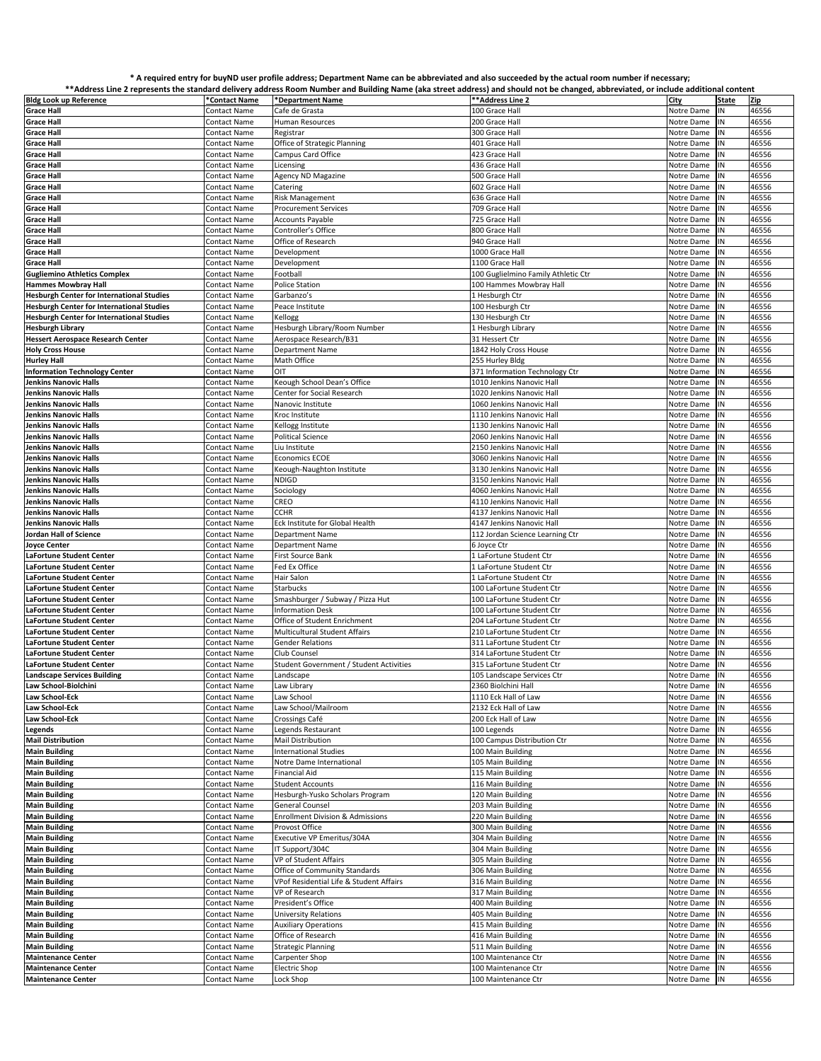## **\* A required entry for buyND user profile address; Department Name can be abbreviated and also succeeded by the actual room number if necessary;**

|                                                  |                     | **Address Line 2 represents the standard delivery address Room Number and Building Name (aka street address) and should not be changed, abbreviated, or include additional content |                                     |               |              |       |
|--------------------------------------------------|---------------------|------------------------------------------------------------------------------------------------------------------------------------------------------------------------------------|-------------------------------------|---------------|--------------|-------|
| <b>Bldg Look up Reference</b>                    | *Contact Name       | *Department Name                                                                                                                                                                   | **Address Line 2                    | City          | <b>State</b> | Zip   |
| <b>Grace Hall</b>                                | Contact Name        | Cafe de Grasta                                                                                                                                                                     | 100 Grace Hall                      | Notre Dame    | IN           | 46556 |
|                                                  |                     |                                                                                                                                                                                    |                                     |               |              |       |
| <b>Grace Hall</b>                                | Contact Name        | Human Resources                                                                                                                                                                    | 200 Grace Hall                      | Notre Dame    | IN           | 46556 |
| <b>Grace Hall</b>                                | Contact Name        | Registrar                                                                                                                                                                          | 300 Grace Hall                      | Notre Dame    | N            | 46556 |
| <b>Grace Hall</b>                                | Contact Name        | Office of Strategic Planning                                                                                                                                                       | 401 Grace Hall                      | Notre Dame    | IN           | 46556 |
| <b>Grace Hall</b>                                | Contact Name        | Campus Card Office                                                                                                                                                                 | 423 Grace Hall                      | Notre Dame    | ΙN           | 46556 |
| <b>Grace Hall</b>                                | Contact Name        | Licensing                                                                                                                                                                          | 436 Grace Hall                      | Notre Dame    | N            | 46556 |
|                                                  |                     |                                                                                                                                                                                    |                                     |               |              |       |
| <b>Grace Hall</b>                                | Contact Name        | Agency ND Magazine                                                                                                                                                                 | 500 Grace Hall                      | Notre Dame    | ΙN           | 46556 |
| <b>Grace Hall</b>                                | <b>Contact Name</b> | Catering                                                                                                                                                                           | 602 Grace Hall                      | Notre Dame    | N            | 46556 |
| <b>Grace Hall</b>                                | Contact Name        | Risk Management                                                                                                                                                                    | 636 Grace Hall                      | Notre Dame    | N            | 46556 |
| <b>Grace Hall</b>                                | Contact Name        | <b>Procurement Services</b>                                                                                                                                                        | 709 Grace Hall                      | Notre Dame    | IN           | 46556 |
|                                                  |                     |                                                                                                                                                                                    |                                     |               |              |       |
| <b>Grace Hall</b>                                | Contact Name        | <b>Accounts Payable</b>                                                                                                                                                            | 725 Grace Hall                      | Notre Dame    | ΙN           | 46556 |
| <b>Grace Hall</b>                                | Contact Name        | Controller's Office                                                                                                                                                                | 800 Grace Hall                      | Notre Dame    | IN           | 46556 |
| <b>Grace Hall</b>                                | Contact Name        | Office of Research                                                                                                                                                                 | 940 Grace Hall                      | Notre Dame    | N            | 46556 |
| <b>Grace Hall</b>                                | <b>Contact Name</b> | Development                                                                                                                                                                        | 1000 Grace Hall                     | Notre Dame    | IN           | 46556 |
|                                                  |                     |                                                                                                                                                                                    |                                     |               |              |       |
| <b>Grace Hall</b>                                | Contact Name        | Development                                                                                                                                                                        | 1100 Grace Hall                     | Notre Dame    | ΙN           | 46556 |
| <b>Gugliemino Athletics Complex</b>              | Contact Name        | Football                                                                                                                                                                           | 100 Guglielmino Family Athletic Ctr | Notre Dame    | N            | 46556 |
| <b>Hammes Mowbray Hall</b>                       | Contact Name        | <b>Police Station</b>                                                                                                                                                              | 100 Hammes Mowbray Hall             | Notre Dame    | IN           | 46556 |
| <b>Hesburgh Center for International Studies</b> | Contact Name        | Garbanzo's                                                                                                                                                                         | 1 Hesburgh Ctr                      | Notre Dame    | ΙN           | 46556 |
|                                                  |                     |                                                                                                                                                                                    |                                     |               |              | 46556 |
| <b>Hesburgh Center for International Studies</b> | Contact Name        | Peace Institute                                                                                                                                                                    | 100 Hesburgh Ctr                    | Notre Dame    | N            |       |
| <b>Hesburgh Center for International Studies</b> | Contact Name        | Kellogg                                                                                                                                                                            | 130 Hesburgh Ctr                    | Notre Dame    | IN           | 46556 |
| <b>Hesburgh Library</b>                          | Contact Name        | Hesburgh Library/Room Number                                                                                                                                                       | 1 Hesburgh Library                  | Notre Dame    | N            | 46556 |
| <b>Hessert Aerospace Research Center</b>         | Contact Name        | Aerospace Research/B31                                                                                                                                                             | 31 Hessert Ctr                      | Notre Dame    | IN           | 46556 |
|                                                  |                     |                                                                                                                                                                                    | 1842 Holy Cross House               | Notre Dame    | N            | 46556 |
| <b>Holy Cross House</b>                          | Contact Name        | <b>Department Name</b>                                                                                                                                                             |                                     |               |              |       |
| <b>Hurley Hall</b>                               | Contact Name        | Math Office                                                                                                                                                                        | 255 Hurley Bldg                     | Notre Dame    | N            | 46556 |
| <b>Information Technology Center</b>             | Contact Name        | OIT                                                                                                                                                                                | 371 Information Technology Ctr      | Notre Dame    | ΙN           | 46556 |
| Jenkins Nanovic Halls                            | Contact Name        | Keough School Dean's Office                                                                                                                                                        | 1010 Jenkins Nanovic Hall           | Notre Dame    | N            | 46556 |
| <b>Jenkins Nanovic Halls</b>                     | <b>Contact Name</b> | Center for Social Research                                                                                                                                                         | 1020 Jenkins Nanovic Hall           | Notre Dame    | ΙN           | 46556 |
|                                                  |                     |                                                                                                                                                                                    |                                     |               |              |       |
| Jenkins Nanovic Halls                            | Contact Name        | Nanovic Institute                                                                                                                                                                  | 1060 Jenkins Nanovic Hal            | Notre Dame    | N            | 46556 |
| Jenkins Nanovic Halls                            | Contact Name        | Kroc Institute                                                                                                                                                                     | 1110 Jenkins Nanovic Hal            | Notre Dame    | N            | 46556 |
| <b>Jenkins Nanovic Halls</b>                     | <b>Contact Name</b> | Kellogg Institute                                                                                                                                                                  | 1130 Jenkins Nanovic Hall           | Notre Dame    | IN           | 46556 |
| Jenkins Nanovic Halls                            | Contact Name        | <b>Political Science</b>                                                                                                                                                           | 2060 Jenkins Nanovic Hall           | Notre Dame    | ΙN           | 46556 |
|                                                  |                     |                                                                                                                                                                                    |                                     |               |              |       |
| Jenkins Nanovic Halls                            | Contact Name        | Liu Institute                                                                                                                                                                      | 2150 Jenkins Nanovic Hall           | Notre Dame    | N            | 46556 |
| Jenkins Nanovic Halls                            | Contact Name        | <b>Economics ECOE</b>                                                                                                                                                              | 3060 Jenkins Nanovic Hall           | Notre Dame    | N            | 46556 |
| Jenkins Nanovic Halls                            | <b>Contact Name</b> | Keough-Naughton Institute                                                                                                                                                          | 3130 Jenkins Nanovic Hall           | Notre Dame    | IN           | 46556 |
| Jenkins Nanovic Halls                            | Contact Name        | NDIGD                                                                                                                                                                              | 3150 Jenkins Nanovic Hall           | Notre Dame    | IN           | 46556 |
|                                                  |                     |                                                                                                                                                                                    |                                     |               |              |       |
| Jenkins Nanovic Halls                            | Contact Name        | Sociology                                                                                                                                                                          | 4060 Jenkins Nanovic Hall           | Notre Dame    | N            | 46556 |
| <b>Jenkins Nanovic Halls</b>                     | Contact Name        | CREO                                                                                                                                                                               | 4110 Jenkins Nanovic Hall           | Notre Dame    | IN           | 46556 |
| <b>Jenkins Nanovic Halls</b>                     | Contact Name        | CCHR                                                                                                                                                                               | 4137 Jenkins Nanovic Hal            | Notre Dame    | ΙN           | 46556 |
| Jenkins Nanovic Halls                            | Contact Name        | Eck Institute for Global Health                                                                                                                                                    | 4147 Jenkins Nanovic Hall           | Notre Dame    | N            | 46556 |
|                                                  |                     |                                                                                                                                                                                    |                                     |               | IN           |       |
| Jordan Hall of Science                           | Contact Name        | Department Name                                                                                                                                                                    | 112 Jordan Science Learning Ctr     | Notre Dame    |              | 46556 |
| Joyce Center                                     | Contact Name        | <b>Department Name</b>                                                                                                                                                             | 6 Joyce Ctr                         | Notre Dame    | N            | 46556 |
| LaFortune Student Center                         | Contact Name        | First Source Bank                                                                                                                                                                  | 1 LaFortune Student Ctr             | Notre Dame    | N            | 46556 |
| LaFortune Student Center                         | Contact Name        | Fed Ex Office                                                                                                                                                                      | 1 LaFortune Student Ctr             | Notre Dame    | N            | 46556 |
| LaFortune Student Center                         | Contact Name        | Hair Salon                                                                                                                                                                         | 1 LaFortune Student Ctr             | Notre Dame    | Ν            | 46556 |
|                                                  |                     |                                                                                                                                                                                    |                                     |               |              |       |
| LaFortune Student Center                         | Contact Name        | Starbucks                                                                                                                                                                          | 100 LaFortune Student Ctr           | Notre Dame    | ΙN           | 46556 |
| LaFortune Student Center                         | Contact Name        | Smashburger / Subway / Pizza Hut                                                                                                                                                   | 100 LaFortune Student Ctr           | Notre Dame    | N            | 46556 |
| LaFortune Student Center                         | Contact Name        | Information Desk                                                                                                                                                                   | 100 LaFortune Student Ctr           | Notre Dame    | ΙN           | 46556 |
| LaFortune Student Center                         | Contact Name        | Office of Student Enrichment                                                                                                                                                       | 204 LaFortune Student Ctr           | Notre Dame    | N            | 46556 |
|                                                  |                     |                                                                                                                                                                                    |                                     |               |              |       |
| LaFortune Student Center                         | Contact Name        | Multicultural Student Affairs                                                                                                                                                      | 210 LaFortune Student Ctr           | Notre Dame    | N            | 46556 |
| LaFortune Student Center                         | Contact Name        | <b>Gender Relations</b>                                                                                                                                                            | 311 LaFortune Student Ctr           | Notre Dame    | IN           | 46556 |
| LaFortune Student Center                         | Contact Name        | Club Counsel                                                                                                                                                                       | 314 LaFortune Student Ctr           | Notre Dame    | ΙN           | 46556 |
| LaFortune Student Center                         | Contact Name        | Student Government / Student Activities                                                                                                                                            | 315 LaFortune Student Ctr           | Notre Dame    | IN           | 46556 |
|                                                  |                     |                                                                                                                                                                                    |                                     |               |              |       |
| <b>Landscape Services Building</b>               | Contact Name        | Landscape                                                                                                                                                                          | 105 Landscape Services Ctr          | Notre Dame    | IN           | 46556 |
| Law School-Biolchini                             | Contact Name        | Law Library                                                                                                                                                                        | 2360 Biolchini Hall                 | Notre Dame IN |              | 46556 |
| Law School-Eck                                   | Contact Name        | Law School                                                                                                                                                                         | 1110 Eck Hall of Law                | Notre Dame    | IN           | 46556 |
| Law School-Eck                                   | Contact Name        | Law School/Mailroom                                                                                                                                                                | 2132 Eck Hall of Law                | Notre Dame    | Ν            | 46556 |
| Law School-Eck                                   |                     |                                                                                                                                                                                    | 200 Eck Hall of Law                 |               | IN           |       |
|                                                  | Contact Name        | Crossings Café                                                                                                                                                                     |                                     | Notre Dame    |              | 46556 |
| Legends                                          | <b>Contact Name</b> | Legends Restaurant                                                                                                                                                                 | 100 Legends                         | Notre Dame    | ΙN           | 46556 |
| <b>Mail Distribution</b>                         | Contact Name        | Mail Distribution                                                                                                                                                                  | 100 Campus Distribution Ctr         | Notre Dame    | N            | 46556 |
| <b>Main Building</b>                             | Contact Name        | <b>International Studies</b>                                                                                                                                                       | 100 Main Building                   | Notre Dame    | N            | 46556 |
| <b>Main Building</b>                             |                     |                                                                                                                                                                                    | 105 Main Building                   | Notre Dame    | N            | 46556 |
|                                                  | Contact Name        | Notre Dame International                                                                                                                                                           |                                     |               |              |       |
| <b>Main Building</b>                             | Contact Name        | Financial Aid                                                                                                                                                                      | 115 Main Building                   | Notre Dame    | N            | 46556 |
| <b>Main Building</b>                             | Contact Name        | <b>Student Accounts</b>                                                                                                                                                            | 116 Main Building                   | Notre Dame    | N            | 46556 |
| <b>Main Building</b>                             | <b>Contact Name</b> | Hesburgh-Yusko Scholars Program                                                                                                                                                    | 120 Main Building                   | Notre Dame    | N            | 46556 |
| <b>Main Building</b>                             | Contact Name        | General Counsel                                                                                                                                                                    | 203 Main Building                   | Notre Dame    | N            | 46556 |
|                                                  |                     |                                                                                                                                                                                    |                                     |               |              |       |
| <b>Main Building</b>                             | Contact Name        | <b>Enrollment Division &amp; Admissions</b>                                                                                                                                        | 220 Main Building                   | Notre Dame    | N            | 46556 |
| <b>Main Building</b>                             | <b>Contact Name</b> | Provost Office                                                                                                                                                                     | 300 Main Building                   | Notre Dame    | N            | 46556 |
| <b>Main Building</b>                             | Contact Name        | Executive VP Emeritus/304A                                                                                                                                                         | 304 Main Building                   | Notre Dame    | N            | 46556 |
| <b>Main Building</b>                             | Contact Name        | IT Support/304C                                                                                                                                                                    | 304 Main Building                   | Notre Dame    | N            | 46556 |
|                                                  |                     |                                                                                                                                                                                    |                                     |               |              |       |
| <b>Main Building</b>                             | Contact Name        | VP of Student Affairs                                                                                                                                                              | 305 Main Building                   | Notre Dame    | N            | 46556 |
| <b>Main Building</b>                             | Contact Name        | Office of Community Standards                                                                                                                                                      | 306 Main Building                   | Notre Dame    | IN           | 46556 |
| <b>Main Building</b>                             | Contact Name        | VPof Residential Life & Student Affairs                                                                                                                                            | 316 Main Building                   | Notre Dame    | IN           | 46556 |
| <b>Main Building</b>                             | Contact Name        | VP of Research                                                                                                                                                                     | 317 Main Building                   | Notre Dame    | N            | 46556 |
|                                                  |                     |                                                                                                                                                                                    |                                     |               |              |       |
| <b>Main Building</b>                             | Contact Name        | President's Office                                                                                                                                                                 | 400 Main Building                   | Notre Dame    | N            | 46556 |
| <b>Main Building</b>                             | Contact Name        | University Relations                                                                                                                                                               | 405 Main Building                   | Notre Dame    | N            | 46556 |
| <b>Main Building</b>                             | Contact Name        | <b>Auxiliary Operations</b>                                                                                                                                                        | 415 Main Building                   | Notre Dame    | N            | 46556 |
| <b>Main Building</b>                             | Contact Name        | Office of Research                                                                                                                                                                 | 416 Main Building                   | Notre Dame    | ΙN           | 46556 |
|                                                  |                     | <b>Strategic Planning</b>                                                                                                                                                          | 511 Main Building                   |               |              |       |
| <b>Main Building</b>                             | Contact Name        |                                                                                                                                                                                    |                                     | Notre Dame    | N            | 46556 |
| <b>Maintenance Center</b>                        | Contact Name        | Carpenter Shop                                                                                                                                                                     | 100 Maintenance Ctr                 | Notre Dame    | N            | 46556 |
| <b>Maintenance Center</b>                        | Contact Name        | <b>Electric Shop</b>                                                                                                                                                               | 100 Maintenance Ctr                 | Notre Dame    | N            | 46556 |
| <b>Maintenance Center</b>                        | Contact Name        | Lock Shop                                                                                                                                                                          | 100 Maintenance Ctr                 | Notre Dame    | ΙN           | 46556 |